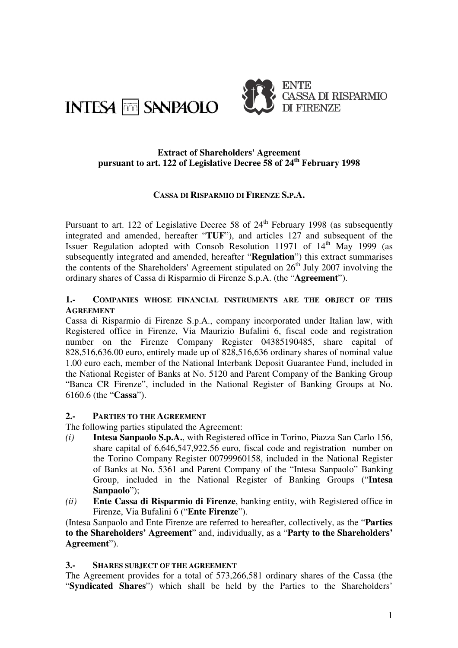



#### **Extract of Shareholders' Agreement pursuant to art. 122 of Legislative Decree 58 of 24th February 1998**

## **CASSA DI RISPARMIO DI FIRENZE S.P.A.**

Pursuant to art. 122 of Legislative Decree 58 of  $24<sup>th</sup>$  February 1998 (as subsequently integrated and amended, hereafter "**TUF**"), and articles 127 and subsequent of the Issuer Regulation adopted with Consob Resolution 11971 of  $14<sup>th</sup>$  May 1999 (as subsequently integrated and amended, hereafter "**Regulation**") this extract summarises the contents of the Shareholders' Agreement stipulated on  $26<sup>th</sup>$  July 2007 involving the ordinary shares of Cassa di Risparmio di Firenze S.p.A. (the "**Agreement**").

### **1.- COMPANIES WHOSE FINANCIAL INSTRUMENTS ARE THE OBJECT OF THIS AGREEMENT**

Cassa di Risparmio di Firenze S.p.A., company incorporated under Italian law, with Registered office in Firenze, Via Maurizio Bufalini 6, fiscal code and registration number on the Firenze Company Register 04385190485, share capital of 828,516,636.00 euro, entirely made up of 828,516,636 ordinary shares of nominal value 1.00 euro each, member of the National Interbank Deposit Guarantee Fund, included in the National Register of Banks at No. 5120 and Parent Company of the Banking Group "Banca CR Firenze", included in the National Register of Banking Groups at No. 6160.6 (the "**Cassa**").

### **2.- PARTIES TO THE AGREEMENT**

The following parties stipulated the Agreement:

- *(i)* **Intesa Sanpaolo S.p.A.**, with Registered office in Torino, Piazza San Carlo 156, share capital of 6,646,547,922.56 euro, fiscal code and registration number on the Torino Company Register 00799960158, included in the National Register of Banks at No. 5361 and Parent Company of the "Intesa Sanpaolo" Banking Group, included in the National Register of Banking Groups ("**Intesa Sanpaolo**");
- *(ii)* **Ente Cassa di Risparmio di Firenze**, banking entity, with Registered office in Firenze, Via Bufalini 6 ("**Ente Firenze**").

(Intesa Sanpaolo and Ente Firenze are referred to hereafter, collectively, as the "**Parties to the Shareholders' Agreement**" and, individually, as a "**Party to the Shareholders' Agreement**").

#### **3.- SHARES SUBJECT OF THE AGREEMENT**

The Agreement provides for a total of 573,266,581 ordinary shares of the Cassa (the "**Syndicated Shares**") which shall be held by the Parties to the Shareholders'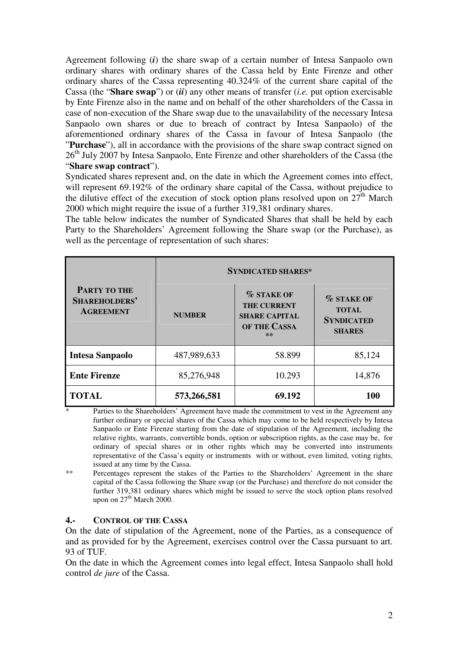Agreement following (*i*) the share swap of a certain number of Intesa Sanpaolo own ordinary shares with ordinary shares of the Cassa held by Ente Firenze and other ordinary shares of the Cassa representing 40.324% of the current share capital of the Cassa (the "**Share swap**") or (*ii*) any other means of transfer (*i.e.* put option exercisable by Ente Firenze also in the name and on behalf of the other shareholders of the Cassa in case of non-execution of the Share swap due to the unavailability of the necessary Intesa Sanpaolo own shares or due to breach of contract by Intesa Sanpaolo) of the aforementioned ordinary shares of the Cassa in favour of Intesa Sanpaolo (the "**Purchase**"), all in accordance with the provisions of the share swap contract signed on 26<sup>th</sup> July 2007 by Intesa Sanpaolo, Ente Firenze and other shareholders of the Cassa (the "**Share swap contract**").

Syndicated shares represent and, on the date in which the Agreement comes into effect, will represent 69.192% of the ordinary share capital of the Cassa, without prejudice to the dilutive effect of the execution of stock option plans resolved upon on  $27<sup>th</sup>$  March 2000 which might require the issue of a further 319,381 ordinary shares.

The table below indicates the number of Syndicated Shares that shall be held by each Party to the Shareholders' Agreement following the Share swap (or the Purchase), as well as the percentage of representation of such shares:

| <b>PARTY TO THE</b><br>SHAREHOLDERS'<br><b>AGREEMENT</b> | <b>SYNDICATED SHARES*</b> |                                                                                          |                                                                         |
|----------------------------------------------------------|---------------------------|------------------------------------------------------------------------------------------|-------------------------------------------------------------------------|
|                                                          | <b>NUMBER</b>             | <b>% STAKE OF</b><br><b>THE CURRENT</b><br><b>SHARE CAPITAL</b><br>OF THE CASSA<br>$***$ | <b>% STAKE OF</b><br><b>TOTAL</b><br><b>SYNDICATED</b><br><b>SHARES</b> |
| <b>Intesa Sanpaolo</b>                                   | 487,989,633               | 58.899                                                                                   | 85,124                                                                  |
| <b>Ente Firenze</b>                                      | 85,276,948                | 10.293                                                                                   | 14,876                                                                  |
| <b>TOTAL</b>                                             | 573,266,581               | 69.192                                                                                   | 100                                                                     |

Parties to the Shareholders' Agreement have made the commitment to vest in the Agreement any further ordinary or special shares of the Cassa which may come to be held respectively by Intesa Sanpaolo or Ente Firenze starting from the date of stipulation of the Agreement, including the relative rights, warrants, convertible bonds, option or subscription rights, as the case may be, for ordinary of special shares or in other rights which may be converted into instruments representative of the Cassa's equity or instruments with or without, even limited, voting rights, issued at any time by the Cassa.

\*\* Percentages represent the stakes of the Parties to the Shareholders' Agreement in the share capital of the Cassa following the Share swap (or the Purchase) and therefore do not consider the further 319,381 ordinary shares which might be issued to serve the stock option plans resolved upon on  $27<sup>th</sup>$  March 2000.

#### **4.- CONTROL OF THE CASSA**

On the date of stipulation of the Agreement, none of the Parties, as a consequence of and as provided for by the Agreement, exercises control over the Cassa pursuant to art. 93 of TUF.

On the date in which the Agreement comes into legal effect, Intesa Sanpaolo shall hold control *de jure* of the Cassa.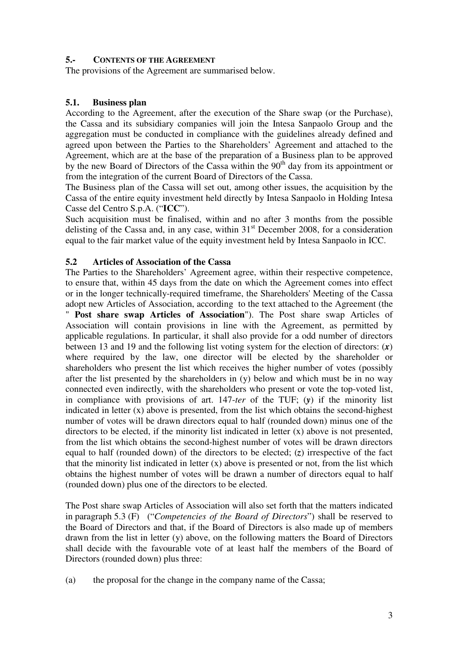#### **5.- CONTENTS OF THE AGREEMENT**

The provisions of the Agreement are summarised below.

#### **5.1. Business plan**

According to the Agreement, after the execution of the Share swap (or the Purchase), the Cassa and its subsidiary companies will join the Intesa Sanpaolo Group and the aggregation must be conducted in compliance with the guidelines already defined and agreed upon between the Parties to the Shareholders' Agreement and attached to the Agreement, which are at the base of the preparation of a Business plan to be approved by the new Board of Directors of the Cassa within the  $90<sup>th</sup>$  day from its appointment or from the integration of the current Board of Directors of the Cassa.

The Business plan of the Cassa will set out, among other issues, the acquisition by the Cassa of the entire equity investment held directly by Intesa Sanpaolo in Holding Intesa Casse del Centro S.p.A. ("**ICC**").

Such acquisition must be finalised, within and no after 3 months from the possible delisting of the Cassa and, in any case, within  $31<sup>st</sup>$  December 2008, for a consideration equal to the fair market value of the equity investment held by Intesa Sanpaolo in ICC.

#### **5.2 Articles of Association of the Cassa**

The Parties to the Shareholders' Agreement agree, within their respective competence, to ensure that, within 45 days from the date on which the Agreement comes into effect or in the longer technically-required timeframe, the Shareholders' Meeting of the Cassa adopt new Articles of Association, according to the text attached to the Agreement (the

" **Post share swap Articles of Association**"). The Post share swap Articles of Association will contain provisions in line with the Agreement, as permitted by applicable regulations. In particular, it shall also provide for a odd number of directors between 13 and 19 and the following list voting system for the election of directors: (*x*) where required by the law, one director will be elected by the shareholder or shareholders who present the list which receives the higher number of votes (possibly after the list presented by the shareholders in (y) below and which must be in no way connected even indirectly, with the shareholders who present or vote the top-voted list, in compliance with provisions of art. 147-*ter* of the TUF; (*y*) if the minority list indicated in letter (x) above is presented, from the list which obtains the second-highest number of votes will be drawn directors equal to half (rounded down) minus one of the directors to be elected, if the minority list indicated in letter (x) above is not presented, from the list which obtains the second-highest number of votes will be drawn directors equal to half (rounded down) of the directors to be elected; (*z*) irrespective of the fact that the minority list indicated in letter (x) above is presented or not, from the list which obtains the highest number of votes will be drawn a number of directors equal to half (rounded down) plus one of the directors to be elected.

The Post share swap Articles of Association will also set forth that the matters indicated in paragraph 5.3 (F) ("*Competencies of the Board of Directors*") shall be reserved to the Board of Directors and that, if the Board of Directors is also made up of members drawn from the list in letter (y) above, on the following matters the Board of Directors shall decide with the favourable vote of at least half the members of the Board of Directors (rounded down) plus three:

(a) the proposal for the change in the company name of the Cassa;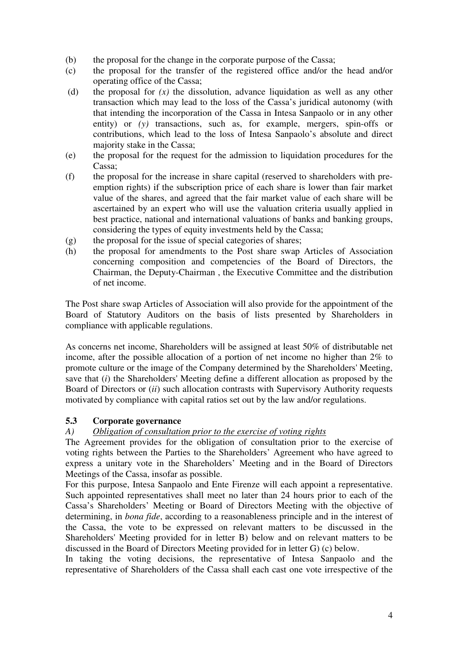- (b) the proposal for the change in the corporate purpose of the Cassa;
- (c) the proposal for the transfer of the registered office and/or the head and/or operating office of the Cassa;
- (d) the proposal for *(x)* the dissolution, advance liquidation as well as any other transaction which may lead to the loss of the Cassa's juridical autonomy (with that intending the incorporation of the Cassa in Intesa Sanpaolo or in any other entity) or *(y)* transactions, such as, for example, mergers, spin-offs or contributions, which lead to the loss of Intesa Sanpaolo's absolute and direct majority stake in the Cassa;
- (e) the proposal for the request for the admission to liquidation procedures for the Cassa;
- (f) the proposal for the increase in share capital (reserved to shareholders with preemption rights) if the subscription price of each share is lower than fair market value of the shares, and agreed that the fair market value of each share will be ascertained by an expert who will use the valuation criteria usually applied in best practice, national and international valuations of banks and banking groups, considering the types of equity investments held by the Cassa;
- (g) the proposal for the issue of special categories of shares;
- (h) the proposal for amendments to the Post share swap Articles of Association concerning composition and competencies of the Board of Directors, the Chairman, the Deputy-Chairman , the Executive Committee and the distribution of net income.

The Post share swap Articles of Association will also provide for the appointment of the Board of Statutory Auditors on the basis of lists presented by Shareholders in compliance with applicable regulations.

As concerns net income, Shareholders will be assigned at least 50% of distributable net income, after the possible allocation of a portion of net income no higher than 2% to promote culture or the image of the Company determined by the Shareholders' Meeting, save that (*i*) the Shareholders' Meeting define a different allocation as proposed by the Board of Directors or (*ii*) such allocation contrasts with Supervisory Authority requests motivated by compliance with capital ratios set out by the law and/or regulations.

# **5.3 Corporate governance**

# *A) Obligation of consultation prior to the exercise of voting rights*

The Agreement provides for the obligation of consultation prior to the exercise of voting rights between the Parties to the Shareholders' Agreement who have agreed to express a unitary vote in the Shareholders' Meeting and in the Board of Directors Meetings of the Cassa, insofar as possible.

For this purpose, Intesa Sanpaolo and Ente Firenze will each appoint a representative. Such appointed representatives shall meet no later than 24 hours prior to each of the Cassa's Shareholders' Meeting or Board of Directors Meeting with the objective of determining, in *bona fide*, according to a reasonableness principle and in the interest of the Cassa, the vote to be expressed on relevant matters to be discussed in the Shareholders' Meeting provided for in letter B) below and on relevant matters to be discussed in the Board of Directors Meeting provided for in letter G) (c) below.

In taking the voting decisions, the representative of Intesa Sanpaolo and the representative of Shareholders of the Cassa shall each cast one vote irrespective of the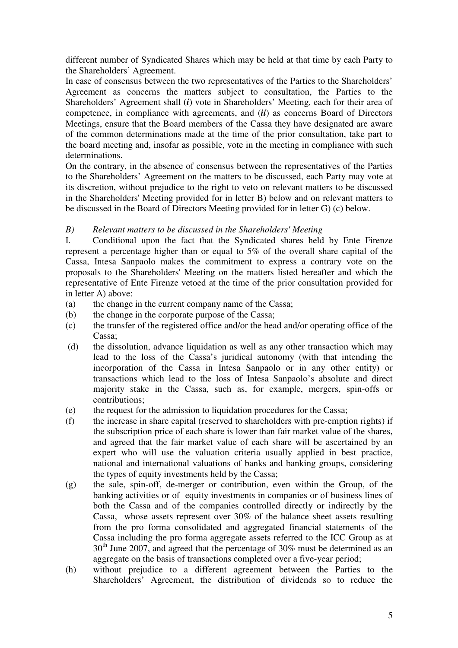different number of Syndicated Shares which may be held at that time by each Party to the Shareholders' Agreement.

In case of consensus between the two representatives of the Parties to the Shareholders' Agreement as concerns the matters subject to consultation, the Parties to the Shareholders' Agreement shall (*i*) vote in Shareholders' Meeting, each for their area of competence, in compliance with agreements, and (*ii*) as concerns Board of Directors Meetings, ensure that the Board members of the Cassa they have designated are aware of the common determinations made at the time of the prior consultation, take part to the board meeting and, insofar as possible, vote in the meeting in compliance with such determinations.

On the contrary, in the absence of consensus between the representatives of the Parties to the Shareholders' Agreement on the matters to be discussed, each Party may vote at its discretion, without prejudice to the right to veto on relevant matters to be discussed in the Shareholders' Meeting provided for in letter B) below and on relevant matters to be discussed in the Board of Directors Meeting provided for in letter G) (c) below.

## *B) Relevant matters to be discussed in the Shareholders' Meeting*

I. Conditional upon the fact that the Syndicated shares held by Ente Firenze represent a percentage higher than or equal to 5% of the overall share capital of the Cassa, Intesa Sanpaolo makes the commitment to express a contrary vote on the proposals to the Shareholders' Meeting on the matters listed hereafter and which the representative of Ente Firenze vetoed at the time of the prior consultation provided for in letter A) above:

- (a) the change in the current company name of the Cassa;
- (b) the change in the corporate purpose of the Cassa;
- (c) the transfer of the registered office and/or the head and/or operating office of the Cassa;
- (d) the dissolution, advance liquidation as well as any other transaction which may lead to the loss of the Cassa's juridical autonomy (with that intending the incorporation of the Cassa in Intesa Sanpaolo or in any other entity) or transactions which lead to the loss of Intesa Sanpaolo's absolute and direct majority stake in the Cassa, such as, for example, mergers, spin-offs or contributions;
- (e) the request for the admission to liquidation procedures for the Cassa;
- (f) the increase in share capital (reserved to shareholders with pre-emption rights) if the subscription price of each share is lower than fair market value of the shares, and agreed that the fair market value of each share will be ascertained by an expert who will use the valuation criteria usually applied in best practice, national and international valuations of banks and banking groups, considering the types of equity investments held by the Cassa;
- (g) the sale, spin-off, de-merger or contribution, even within the Group, of the banking activities or of equity investments in companies or of business lines of both the Cassa and of the companies controlled directly or indirectly by the Cassa, whose assets represent over 30% of the balance sheet assets resulting from the pro forma consolidated and aggregated financial statements of the Cassa including the pro forma aggregate assets referred to the ICC Group as at  $30<sup>th</sup>$  June 2007, and agreed that the percentage of 30% must be determined as an aggregate on the basis of transactions completed over a five-year period;
- (h) without prejudice to a different agreement between the Parties to the Shareholders' Agreement, the distribution of dividends so to reduce the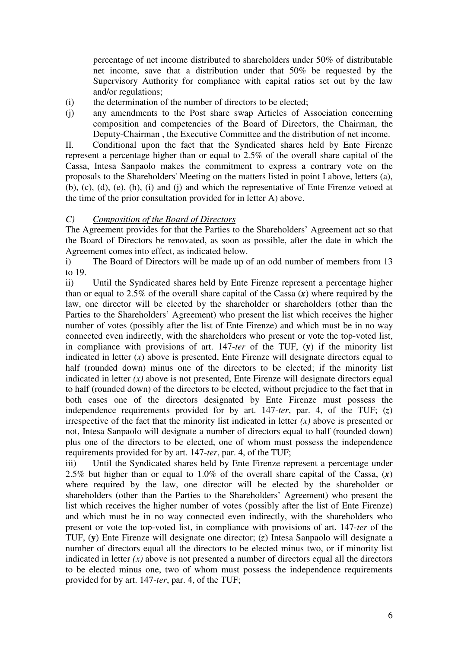percentage of net income distributed to shareholders under 50% of distributable net income, save that a distribution under that 50% be requested by the Supervisory Authority for compliance with capital ratios set out by the law and/or regulations;

- (i) the determination of the number of directors to be elected;
- (j) any amendments to the Post share swap Articles of Association concerning composition and competencies of the Board of Directors, the Chairman, the Deputy-Chairman , the Executive Committee and the distribution of net income.

II. Conditional upon the fact that the Syndicated shares held by Ente Firenze represent a percentage higher than or equal to 2.5% of the overall share capital of the Cassa, Intesa Sanpaolo makes the commitment to express a contrary vote on the proposals to the Shareholders' Meeting on the matters listed in point I above, letters (a), (b), (c), (d), (e), (h), (i) and (j) and which the representative of Ente Firenze vetoed at the time of the prior consultation provided for in letter A) above.

### *C) Composition of the Board of Directors*

The Agreement provides for that the Parties to the Shareholders' Agreement act so that the Board of Directors be renovated, as soon as possible, after the date in which the Agreement comes into effect, as indicated below.

i) The Board of Directors will be made up of an odd number of members from 13 to 19.

ii) Until the Syndicated shares held by Ente Firenze represent a percentage higher than or equal to 2.5% of the overall share capital of the Cassa (*x*) where required by the law, one director will be elected by the shareholder or shareholders (other than the Parties to the Shareholders' Agreement) who present the list which receives the higher number of votes (possibly after the list of Ente Firenze) and which must be in no way connected even indirectly, with the shareholders who present or vote the top-voted list, in compliance with provisions of art. 147-*ter* of the TUF, (**y**) if the minority list indicated in letter  $(x)$  above is presented, Ente Firenze will designate directors equal to half (rounded down) minus one of the directors to be elected; if the minority list indicated in letter  $(x)$  above is not presented, Ente Firenze will designate directors equal to half (rounded down) of the directors to be elected, without prejudice to the fact that in both cases one of the directors designated by Ente Firenze must possess the independence requirements provided for by art. 147-*ter*, par. 4, of the TUF; (*z*) irrespective of the fact that the minority list indicated in letter  $(x)$  above is presented or not, Intesa Sanpaolo will designate a number of directors equal to half (rounded down) plus one of the directors to be elected, one of whom must possess the independence requirements provided for by art. 147-*ter*, par. 4, of the TUF;

iii) Until the Syndicated shares held by Ente Firenze represent a percentage under 2.5% but higher than or equal to 1.0% of the overall share capital of the Cassa, (*x*) where required by the law, one director will be elected by the shareholder or shareholders (other than the Parties to the Shareholders' Agreement) who present the list which receives the higher number of votes (possibly after the list of Ente Firenze) and which must be in no way connected even indirectly, with the shareholders who present or vote the top-voted list, in compliance with provisions of art. 147-*ter* of the TUF, (**y**) Ente Firenze will designate one director; (*z*) Intesa Sanpaolo will designate a number of directors equal all the directors to be elected minus two, or if minority list indicated in letter  $(x)$  above is not presented a number of directors equal all the directors to be elected minus one, two of whom must possess the independence requirements provided for by art. 147-*ter*, par. 4, of the TUF;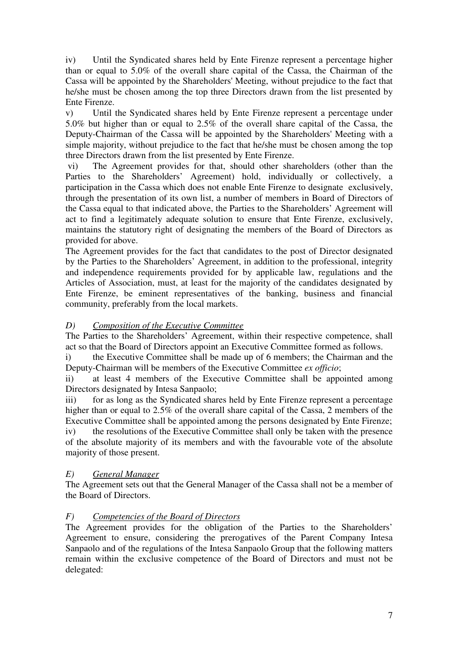iv) Until the Syndicated shares held by Ente Firenze represent a percentage higher than or equal to 5.0% of the overall share capital of the Cassa, the Chairman of the Cassa will be appointed by the Shareholders' Meeting, without prejudice to the fact that he/she must be chosen among the top three Directors drawn from the list presented by Ente Firenze.

v) Until the Syndicated shares held by Ente Firenze represent a percentage under 5.0% but higher than or equal to 2.5% of the overall share capital of the Cassa, the Deputy-Chairman of the Cassa will be appointed by the Shareholders' Meeting with a simple majority, without prejudice to the fact that he/she must be chosen among the top three Directors drawn from the list presented by Ente Firenze.

 vi) The Agreement provides for that, should other shareholders (other than the Parties to the Shareholders' Agreement) hold, individually or collectively, a participation in the Cassa which does not enable Ente Firenze to designate exclusively, through the presentation of its own list, a number of members in Board of Directors of the Cassa equal to that indicated above, the Parties to the Shareholders' Agreement will act to find a legitimately adequate solution to ensure that Ente Firenze, exclusively, maintains the statutory right of designating the members of the Board of Directors as provided for above.

The Agreement provides for the fact that candidates to the post of Director designated by the Parties to the Shareholders' Agreement, in addition to the professional, integrity and independence requirements provided for by applicable law, regulations and the Articles of Association, must, at least for the majority of the candidates designated by Ente Firenze, be eminent representatives of the banking, business and financial community, preferably from the local markets.

# *D) Composition of the Executive Committee*

The Parties to the Shareholders' Agreement, within their respective competence, shall act so that the Board of Directors appoint an Executive Committee formed as follows.

i) the Executive Committee shall be made up of 6 members; the Chairman and the Deputy-Chairman will be members of the Executive Committee *ex officio*;

ii) at least 4 members of the Executive Committee shall be appointed among Directors designated by Intesa Sanpaolo;

iii) for as long as the Syndicated shares held by Ente Firenze represent a percentage higher than or equal to 2.5% of the overall share capital of the Cassa, 2 members of the Executive Committee shall be appointed among the persons designated by Ente Firenze; iv) the resolutions of the Executive Committee shall only be taken with the presence of the absolute majority of its members and with the favourable vote of the absolute majority of those present.

# *E) General Manager*

The Agreement sets out that the General Manager of the Cassa shall not be a member of the Board of Directors.

### *F) Competencies of the Board of Directors*

The Agreement provides for the obligation of the Parties to the Shareholders' Agreement to ensure, considering the prerogatives of the Parent Company Intesa Sanpaolo and of the regulations of the Intesa Sanpaolo Group that the following matters remain within the exclusive competence of the Board of Directors and must not be delegated: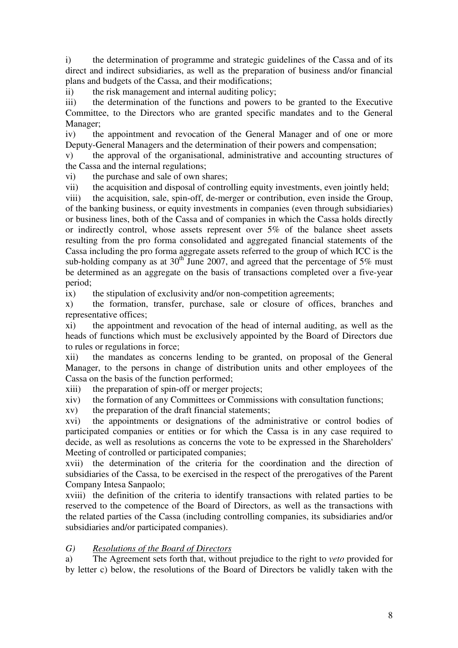i) the determination of programme and strategic guidelines of the Cassa and of its direct and indirect subsidiaries, as well as the preparation of business and/or financial plans and budgets of the Cassa, and their modifications;

ii) the risk management and internal auditing policy;

iii) the determination of the functions and powers to be granted to the Executive Committee, to the Directors who are granted specific mandates and to the General Manager;

iv) the appointment and revocation of the General Manager and of one or more Deputy-General Managers and the determination of their powers and compensation;

v) the approval of the organisational, administrative and accounting structures of the Cassa and the internal regulations;

vi) the purchase and sale of own shares;

vii) the acquisition and disposal of controlling equity investments, even jointly held;

viii) the acquisition, sale, spin-off, de-merger or contribution, even inside the Group, of the banking business, or equity investments in companies (even through subsidiaries) or business lines, both of the Cassa and of companies in which the Cassa holds directly or indirectly control, whose assets represent over 5% of the balance sheet assets resulting from the pro forma consolidated and aggregated financial statements of the Cassa including the pro forma aggregate assets referred to the group of which ICC is the sub-holding company as at  $30<sup>th</sup>$  June 2007, and agreed that the percentage of 5% must be determined as an aggregate on the basis of transactions completed over a five-year period;

ix) the stipulation of exclusivity and/or non-competition agreements;

x) the formation, transfer, purchase, sale or closure of offices, branches and representative offices;

xi) the appointment and revocation of the head of internal auditing, as well as the heads of functions which must be exclusively appointed by the Board of Directors due to rules or regulations in force;

xii) the mandates as concerns lending to be granted, on proposal of the General Manager, to the persons in change of distribution units and other employees of the Cassa on the basis of the function performed;

xiii) the preparation of spin-off or merger projects;

xiv) the formation of any Committees or Commissions with consultation functions;

xv) the preparation of the draft financial statements;

xvi) the appointments or designations of the administrative or control bodies of participated companies or entities or for which the Cassa is in any case required to decide, as well as resolutions as concerns the vote to be expressed in the Shareholders' Meeting of controlled or participated companies;

xvii) the determination of the criteria for the coordination and the direction of subsidiaries of the Cassa, to be exercised in the respect of the prerogatives of the Parent Company Intesa Sanpaolo;

xviii) the definition of the criteria to identify transactions with related parties to be reserved to the competence of the Board of Directors, as well as the transactions with the related parties of the Cassa (including controlling companies, its subsidiaries and/or subsidiaries and/or participated companies).

### *G) Resolutions of the Board of Directors*

a) The Agreement sets forth that, without prejudice to the right to *veto* provided for by letter c) below, the resolutions of the Board of Directors be validly taken with the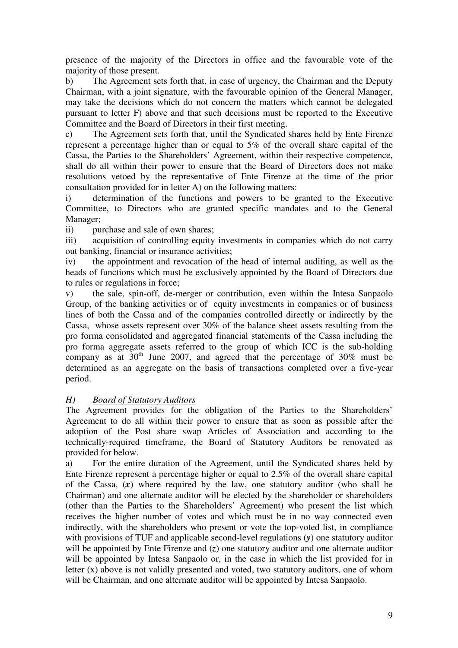presence of the majority of the Directors in office and the favourable vote of the majority of those present.

b) The Agreement sets forth that, in case of urgency, the Chairman and the Deputy Chairman, with a joint signature, with the favourable opinion of the General Manager, may take the decisions which do not concern the matters which cannot be delegated pursuant to letter F) above and that such decisions must be reported to the Executive Committee and the Board of Directors in their first meeting.

c) The Agreement sets forth that, until the Syndicated shares held by Ente Firenze represent a percentage higher than or equal to 5% of the overall share capital of the Cassa, the Parties to the Shareholders' Agreement, within their respective competence, shall do all within their power to ensure that the Board of Directors does not make resolutions vetoed by the representative of Ente Firenze at the time of the prior consultation provided for in letter A) on the following matters:

i) determination of the functions and powers to be granted to the Executive Committee, to Directors who are granted specific mandates and to the General Manager;

ii) purchase and sale of own shares;

iii) acquisition of controlling equity investments in companies which do not carry out banking, financial or insurance activities;

iv) the appointment and revocation of the head of internal auditing, as well as the heads of functions which must be exclusively appointed by the Board of Directors due to rules or regulations in force;

v) the sale, spin-off, de-merger or contribution, even within the Intesa Sanpaolo Group, of the banking activities or of equity investments in companies or of business lines of both the Cassa and of the companies controlled directly or indirectly by the Cassa, whose assets represent over 30% of the balance sheet assets resulting from the pro forma consolidated and aggregated financial statements of the Cassa including the pro forma aggregate assets referred to the group of which ICC is the sub-holding company as at  $30<sup>th</sup>$  June 2007, and agreed that the percentage of 30% must be determined as an aggregate on the basis of transactions completed over a five-year period.

### *H) Board of Statutory Auditors*

The Agreement provides for the obligation of the Parties to the Shareholders' Agreement to do all within their power to ensure that as soon as possible after the adoption of the Post share swap Articles of Association and according to the technically-required timeframe, the Board of Statutory Auditors be renovated as provided for below.

a) For the entire duration of the Agreement, until the Syndicated shares held by Ente Firenze represent a percentage higher or equal to 2.5% of the overall share capital of the Cassa, (*x*) where required by the law, one statutory auditor (who shall be Chairman) and one alternate auditor will be elected by the shareholder or shareholders (other than the Parties to the Shareholders' Agreement) who present the list which receives the higher number of votes and which must be in no way connected even indirectly, with the shareholders who present or vote the top-voted list, in compliance with provisions of TUF and applicable second-level regulations (*y*) one statutory auditor will be appointed by Ente Firenze and (*z*) one statutory auditor and one alternate auditor will be appointed by Intesa Sanpaolo or, in the case in which the list provided for in letter (x) above is not validly presented and voted, two statutory auditors, one of whom will be Chairman, and one alternate auditor will be appointed by Intesa Sanpaolo.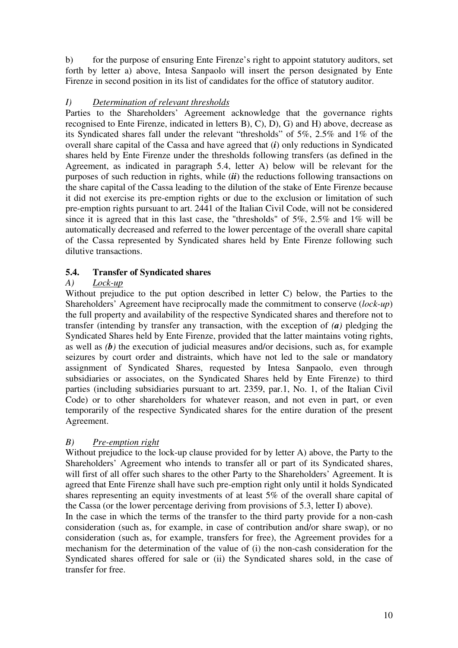b) for the purpose of ensuring Ente Firenze's right to appoint statutory auditors, set forth by letter a) above, Intesa Sanpaolo will insert the person designated by Ente Firenze in second position in its list of candidates for the office of statutory auditor.

# *I) Determination of relevant thresholds*

Parties to the Shareholders' Agreement acknowledge that the governance rights recognised to Ente Firenze, indicated in letters B), C), D), G) and H) above, decrease as its Syndicated shares fall under the relevant "thresholds" of 5%, 2.5% and 1% of the overall share capital of the Cassa and have agreed that (*i*) only reductions in Syndicated shares held by Ente Firenze under the thresholds following transfers (as defined in the Agreement, as indicated in paragraph 5.4, letter A) below will be relevant for the purposes of such reduction in rights, while (*ii*) the reductions following transactions on the share capital of the Cassa leading to the dilution of the stake of Ente Firenze because it did not exercise its pre-emption rights or due to the exclusion or limitation of such pre-emption rights pursuant to art. 2441 of the Italian Civil Code, will not be considered since it is agreed that in this last case, the "thresholds" of 5%, 2.5% and 1% will be automatically decreased and referred to the lower percentage of the overall share capital of the Cassa represented by Syndicated shares held by Ente Firenze following such dilutive transactions.

## **5.4. Transfer of Syndicated shares**

## *A) Lock-up*

Without prejudice to the put option described in letter C) below, the Parties to the Shareholders' Agreement have reciprocally made the commitment to conserve (*lock-up*) the full property and availability of the respective Syndicated shares and therefore not to transfer (intending by transfer any transaction, with the exception of *(a)* pledging the Syndicated Shares held by Ente Firenze, provided that the latter maintains voting rights, as well as *(b)* the execution of judicial measures and/or decisions, such as, for example seizures by court order and distraints, which have not led to the sale or mandatory assignment of Syndicated Shares, requested by Intesa Sanpaolo, even through subsidiaries or associates, on the Syndicated Shares held by Ente Firenze) to third parties (including subsidiaries pursuant to art. 2359, par.1, No. 1, of the Italian Civil Code) or to other shareholders for whatever reason, and not even in part, or even temporarily of the respective Syndicated shares for the entire duration of the present Agreement.

# *B) Pre-emption right*

Without prejudice to the lock-up clause provided for by letter A) above, the Party to the Shareholders' Agreement who intends to transfer all or part of its Syndicated shares, will first of all offer such shares to the other Party to the Shareholders' Agreement. It is agreed that Ente Firenze shall have such pre-emption right only until it holds Syndicated shares representing an equity investments of at least 5% of the overall share capital of the Cassa (or the lower percentage deriving from provisions of 5.3, letter I) above).

In the case in which the terms of the transfer to the third party provide for a non-cash consideration (such as, for example, in case of contribution and/or share swap), or no consideration (such as, for example, transfers for free), the Agreement provides for a mechanism for the determination of the value of (i) the non-cash consideration for the Syndicated shares offered for sale or (ii) the Syndicated shares sold, in the case of transfer for free.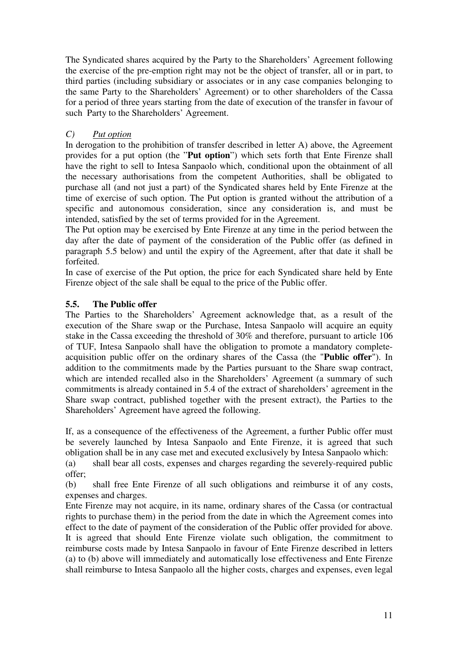The Syndicated shares acquired by the Party to the Shareholders' Agreement following the exercise of the pre-emption right may not be the object of transfer, all or in part, to third parties (including subsidiary or associates or in any case companies belonging to the same Party to the Shareholders' Agreement) or to other shareholders of the Cassa for a period of three years starting from the date of execution of the transfer in favour of such Party to the Shareholders' Agreement.

# *C) Put option*

In derogation to the prohibition of transfer described in letter A) above, the Agreement provides for a put option (the "**Put option**") which sets forth that Ente Firenze shall have the right to sell to Intesa Sanpaolo which, conditional upon the obtainment of all the necessary authorisations from the competent Authorities, shall be obligated to purchase all (and not just a part) of the Syndicated shares held by Ente Firenze at the time of exercise of such option. The Put option is granted without the attribution of a specific and autonomous consideration, since any consideration is, and must be intended, satisfied by the set of terms provided for in the Agreement.

The Put option may be exercised by Ente Firenze at any time in the period between the day after the date of payment of the consideration of the Public offer (as defined in paragraph 5.5 below) and until the expiry of the Agreement, after that date it shall be forfeited.

In case of exercise of the Put option, the price for each Syndicated share held by Ente Firenze object of the sale shall be equal to the price of the Public offer.

### **5.5. The Public offer**

The Parties to the Shareholders' Agreement acknowledge that, as a result of the execution of the Share swap or the Purchase, Intesa Sanpaolo will acquire an equity stake in the Cassa exceeding the threshold of 30% and therefore, pursuant to article 106 of TUF, Intesa Sanpaolo shall have the obligation to promote a mandatory completeacquisition public offer on the ordinary shares of the Cassa (the "**Public offer**"). In addition to the commitments made by the Parties pursuant to the Share swap contract, which are intended recalled also in the Shareholders' Agreement (a summary of such commitments is already contained in 5.4 of the extract of shareholders' agreement in the Share swap contract, published together with the present extract), the Parties to the Shareholders' Agreement have agreed the following.

If, as a consequence of the effectiveness of the Agreement, a further Public offer must be severely launched by Intesa Sanpaolo and Ente Firenze, it is agreed that such obligation shall be in any case met and executed exclusively by Intesa Sanpaolo which:

(a) shall bear all costs, expenses and charges regarding the severely-required public offer;

(b) shall free Ente Firenze of all such obligations and reimburse it of any costs, expenses and charges.

Ente Firenze may not acquire, in its name, ordinary shares of the Cassa (or contractual rights to purchase them) in the period from the date in which the Agreement comes into effect to the date of payment of the consideration of the Public offer provided for above. It is agreed that should Ente Firenze violate such obligation, the commitment to reimburse costs made by Intesa Sanpaolo in favour of Ente Firenze described in letters (a) to (b) above will immediately and automatically lose effectiveness and Ente Firenze shall reimburse to Intesa Sanpaolo all the higher costs, charges and expenses, even legal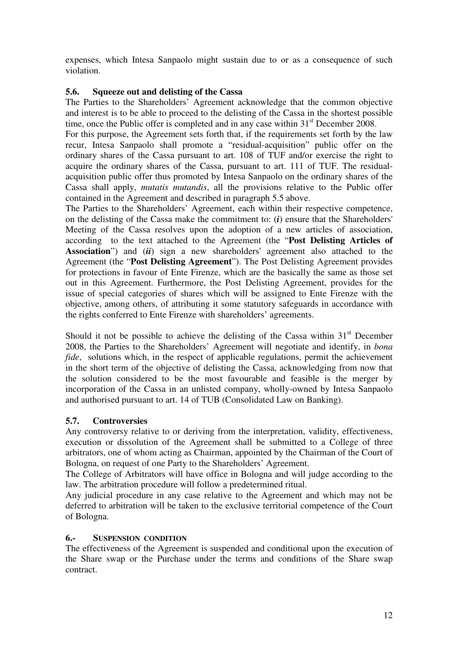expenses, which Intesa Sanpaolo might sustain due to or as a consequence of such violation.

## **5.6. Squeeze out and delisting of the Cassa**

The Parties to the Shareholders' Agreement acknowledge that the common objective and interest is to be able to proceed to the delisting of the Cassa in the shortest possible time, once the Public offer is completed and in any case within  $31<sup>st</sup>$  December 2008.

For this purpose, the Agreement sets forth that, if the requirements set forth by the law recur, Intesa Sanpaolo shall promote a "residual-acquisition" public offer on the ordinary shares of the Cassa pursuant to art. 108 of TUF and/or exercise the right to acquire the ordinary shares of the Cassa, pursuant to art. 111 of TUF. The residualacquisition public offer thus promoted by Intesa Sanpaolo on the ordinary shares of the Cassa shall apply, *mutatis mutandis*, all the provisions relative to the Public offer contained in the Agreement and described in paragraph 5.5 above.

The Parties to the Shareholders' Agreement, each within their respective competence, on the delisting of the Cassa make the commitment to: (*i*) ensure that the Shareholders' Meeting of the Cassa resolves upon the adoption of a new articles of association, according to the text attached to the Agreement (the "**Post Delisting Articles of Association**") and (*ii*) sign a new shareholders' agreement also attached to the Agreement (the "**Post Delisting Agreement**"). The Post Delisting Agreement provides for protections in favour of Ente Firenze, which are the basically the same as those set out in this Agreement. Furthermore, the Post Delisting Agreement, provides for the issue of special categories of shares which will be assigned to Ente Firenze with the objective, among others, of attributing it some statutory safeguards in accordance with the rights conferred to Ente Firenze with shareholders' agreements.

Should it not be possible to achieve the delisting of the Cassa within  $31<sup>st</sup>$  December 2008, the Parties to the Shareholders' Agreement will negotiate and identify, in *bona fide*, solutions which, in the respect of applicable regulations, permit the achievement in the short term of the objective of delisting the Cassa, acknowledging from now that the solution considered to be the most favourable and feasible is the merger by incorporation of the Cassa in an unlisted company, wholly-owned by Intesa Sanpaolo and authorised pursuant to art. 14 of TUB (Consolidated Law on Banking).

# **5.7. Controversies**

Any controversy relative to or deriving from the interpretation, validity, effectiveness, execution or dissolution of the Agreement shall be submitted to a College of three arbitrators, one of whom acting as Chairman, appointed by the Chairman of the Court of Bologna, on request of one Party to the Shareholders' Agreement.

The College of Arbitrators will have office in Bologna and will judge according to the law. The arbitration procedure will follow a predetermined ritual.

Any judicial procedure in any case relative to the Agreement and which may not be deferred to arbitration will be taken to the exclusive territorial competence of the Court of Bologna.

### **6.- SUSPENSION CONDITION**

The effectiveness of the Agreement is suspended and conditional upon the execution of the Share swap or the Purchase under the terms and conditions of the Share swap contract.